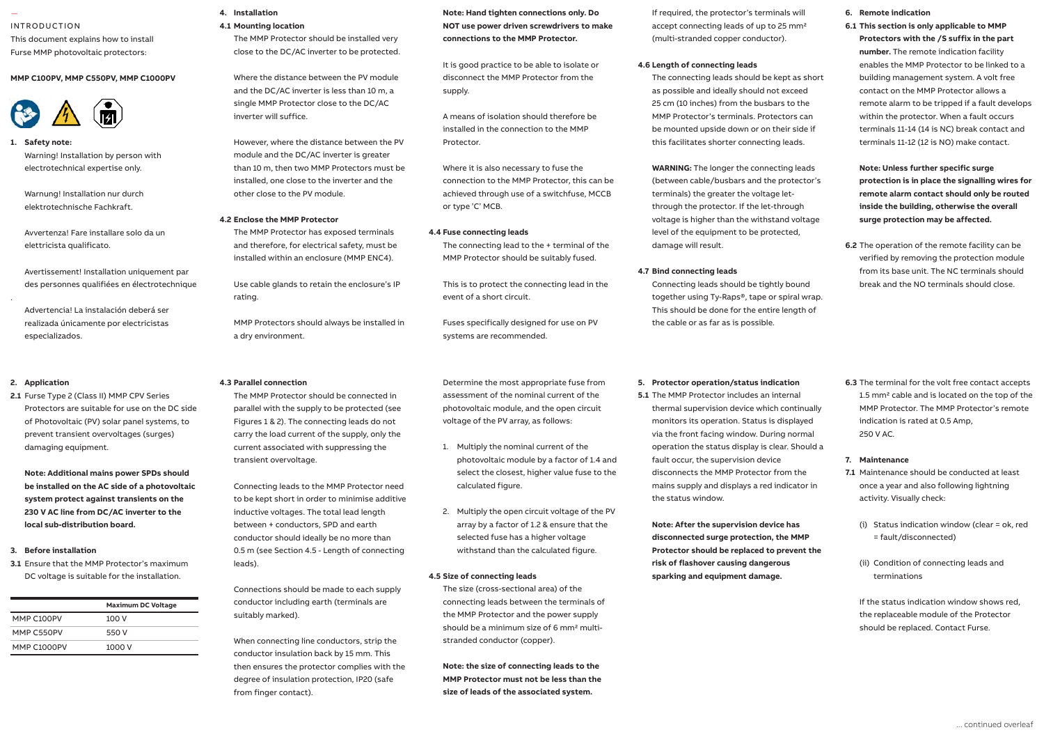### — INTRODUCTION

This document explains how to install Furse MMP photovoltaic protectors:

### **MMP C100PV, MMP C550PV, MMP C1000PV**



### **1. Safety note:** Safety note:

Warning! Installation by person with electrotechnical expertise only.

Warnung! Installation nur durch elektrotechnische Fachkraft. des personnes qualifiées en électrotechnique. 1.6 Provide a means of isolation for the

Avvertenza! Fare installare solo da un elettricista qualificato.

Avertissement! Installation uniquement par des personnes qualifiées en électrotechnique<br>Us

Advertencia! La instalación deberá ser realizada únicamente por electricistas **cables de la storm.** especializados.

## 2. Application

.

Protectors are suitable for use on the DC side parallel **2.1** Furse Type 2 (Class II) MMP CPV Series of Photovoltaic (PV) solar panel systems, to prevent transient overvoltages (surges) damaging equipment.

**Note: Additional mains power SPDs should be installed on the AC side of a photovoltaic system protect against transients on the 230 V AC line from DC/AC inverter to the local sub-distribution board.**

### **3. Before installation**

**3.1** Ensure that the MMP Protector's maximum DC voltage is suitable for the installation.

|             | <b>Maximum DC Voltage</b> |
|-------------|---------------------------|
| MMP C100PV  | 100 V                     |
| MMP C550PV  | 550 V                     |
| MMP C1000PV | 1000 V                    |

### **4. Installation 4.1 Mounting location**

The MMP Protector should be installed very close to the DC/AC inverter to be protected.

Where the distance between the PV module and the DC/AC inverter is less than 10 m, a single MMP Protector close to the DC/AC 1 inverter will suffice. 1.4 Connect to phase(s), neutral and earth.

However, where the distance between the PV module and the DC/AC inverter is greater he close than 10 m, then two MMP Protectors must be close installed, one close to the inverter and the other close to the PV module.

### **4.2 Enclose the MMP Protector**

The MMP Protector has exposed terminals and therefore, for electrical safety, must be installed within an enclosure (MMP ENC4). 1.8 Connecting leads should be 10 mm2

Use cable glands to retain the enclosure's IP rating.<br>Erating.

> MMP Protectors should always be installed in a dry environment.

### 1.12 Maximum torque for remote contact is **4.3 Parallel connection**

The MMP Protector should be connected in parallel with the supply to be protected (see Figures 1 & 2). The connecting leads do not carry the load current of the supply, only the current associated with suppressing the transient overvoltage.

Connecting leads to the MMP Protector need to be kept short in order to minimise additive inductive voltages. The total lead length between + conductors, SPD and earth conductor should ideally be no more than 0.5 m (see Section 4.5 - Length of connecting leads).

Connections should be made to each supply conductor including earth (terminals are suitably marked).

When connecting line conductors, strip the conductor insulation back by 15 mm. This then ensures the protector complies with the degree of insulation protection, IP20 (safe from finger contact).

**Note: Hand tighten connections only. Do NOT use power driven screwdrivers to make connections to the MMP Protector.**

It is good practice to be able to isolate or disconnect the MMP Protector from the supply.

A means of isolation should therefore be installed in the connection to the MMP Protector.

Where it is also necessary to fuse the connection to the MMP Protector, this can be achieved through use of a switchfuse, MCCB or type 'C' MCB.

### **4.4 Fuse connecting leads**

The connecting lead to the + terminal of the MMP Protector should be suitably fused.

This is to protect the connecting lead in the event of a short circuit.

Fuses specifically designed for use on PV systems are recommended.

Determine the most appropriate fuse from assessment of the nominal current of the photovoltaic module, and the open circuit voltage of the PV array, as follows:

- 1. Multiply the nominal current of the photovoltaic module by a factor of 1.4 and select the closest, higher value fuse to the calculated figure.
- 2. Multiply the open circuit voltage of the PV array by a factor of 1.2 & ensure that the selected fuse has a higher voltage withstand than the calculated figure.

### **4.5 Size of connecting leads**

The size (cross-sectional area) of the connecting leads between the terminals of the MMP Protector and the power supply should be a minimum size of 6 mm<sup>2</sup> multistranded conductor (copper).

**Note: the size of connecting leads to the MMP Protector must not be less than the size of leads of the associated system.**

If required, the protector's terminals will accept connecting leads of up to 25 mm<sup>2</sup> (multi-stranded copper conductor).

### **4.6 Length of connecting leads**

The connecting leads should be kept as short as possible and ideally should not exceed 25 cm (10 inches) from the busbars to the MMP Protector's terminals. Protectors can be mounted upside down or on their side if this facilitates shorter connecting leads.

**WARNING:** The longer the connecting leads (between cable/busbars and the protector's terminals) the greater the voltage letthrough the protector. If the let-through voltage is higher than the withstand voltage level of the equipment to be protected, damage will result.

### **4.7 Bind connecting leads**

Connecting leads should be tightly bound together using Ty-Raps®, tape or spiral wrap. This should be done for the entire length of the cable or as far as is possible.

### **5. Protector operation/status indication**

**5.1** The MMP Protector includes an internal thermal supervision device which continually monitors its operation. Status is displayed via the front facing window. During normal operation the status display is clear. Should a fault occur, the supervision device disconnects the MMP Protector from the mains supply and displays a red indicator in the status window.

**Note: After the supervision device has disconnected surge protection, the MMP Protector should be replaced to prevent the risk of flashover causing dangerous sparking and equipment damage.**

### **6. Remote indication**

**6.1 This section is only applicable to MMP Protectors with the /S suffix in the part number.** The remote indication facility enables the MMP Protector to be linked to a building management system. A volt free contact on the MMP Protector allows a remote alarm to be tripped if a fault develops within the protector. When a fault occurs terminals 11-14 (14 is NC) break contact and terminals 11-12 (12 is NO) make contact.

**Note: Unless further specific surge protection is in place the signalling wires for remote alarm contact should only be routed inside the building, otherwise the overall surge protection may be affected.**

**6.2** The operation of the remote facility can be verified by removing the protection module from its base unit. The NC terminals should break and the NO terminals should close.

**6.3** The terminal for the volt free contact accepts 1.5 mm<sup>2</sup> cable and is located on the top of the MMP Protector. The MMP Protector's remote indication is rated at 0.5 Amp, 250 V AC.

### **7. Maintenance**

- **7.1** Maintenance should be conducted at least once a year and also following lightning activity. Visually check:
	- (i) Status indication window (clear = ok, red = fault/disconnected)
	- (ii) Condition of connecting leads and terminations

If the status indication window shows red, the replaceable module of the Protector should be replaced. Contact Furse.